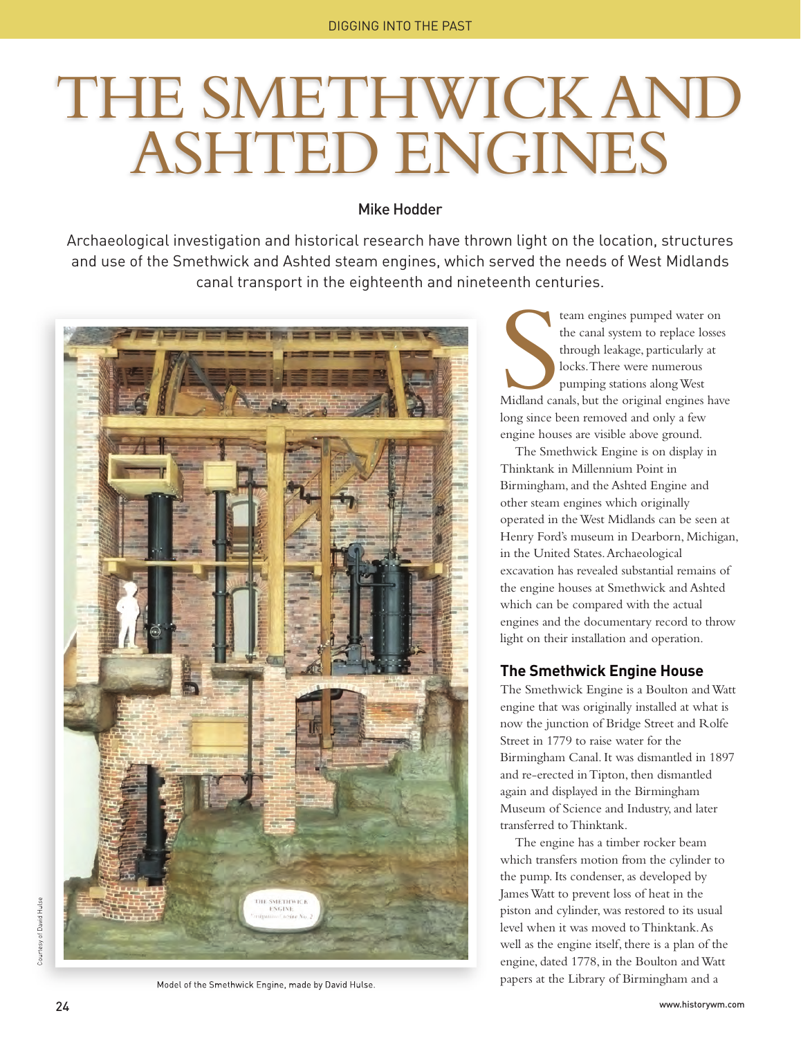# THE SMETHWICK AND ASHTED ENGINES

# Mike Hodder

Archaeological investigation and historical research have thrown light on the location, structures and use of the Smethwick and Ashted steam engines, which served the needs of West Midlands canal transport in the eighteenth and nineteenth centuries.



Model of the Smethwick Engine, made by David Hulse.

Midland ca team engines pumped water on the canal system to replace losses through leakage, particularly at locks. There were numerous pumping stations along West Midland canals, but the original engines have long since been removed and only a few engine houses are visible above ground.

The Smethwick Engine is on display in Thinktank in Millennium Point in Birmingham, and the Ashted Engine and other steam engines which originally operated in the West Midlands can be seen at Henry Ford's museum in Dearborn, Michigan, in the United States. Archaeological excavation has revealed substantial remains of the engine houses at Smethwick and Ashted which can be compared with the actual engines and the documentary record to throw light on their installation and operation.

## **The Smethwick Engine House**

The Smethwick Engine is a Boulton and Watt engine that was originally installed at what is now the junction of Bridge Street and Rolfe Street in 1779 to raise water for the Birmingham Canal. It was dismantled in 1897 and re-erected in Tipton, then dismantled again and displayed in the Birmingham Museum of Science and Industry, and later transferred to Thinktank.

The engine has a timber rocker beam which transfers motion from the cylinder to the pump. Its condenser, as developed by James Watt to prevent loss of heat in the piston and cylinder, was restored to its usual level when it was moved to Thinktank. As well as the engine itself, there is a plan of the engine, dated 1778, in the Boulton and Watt papers at the Library of Birmingham and a